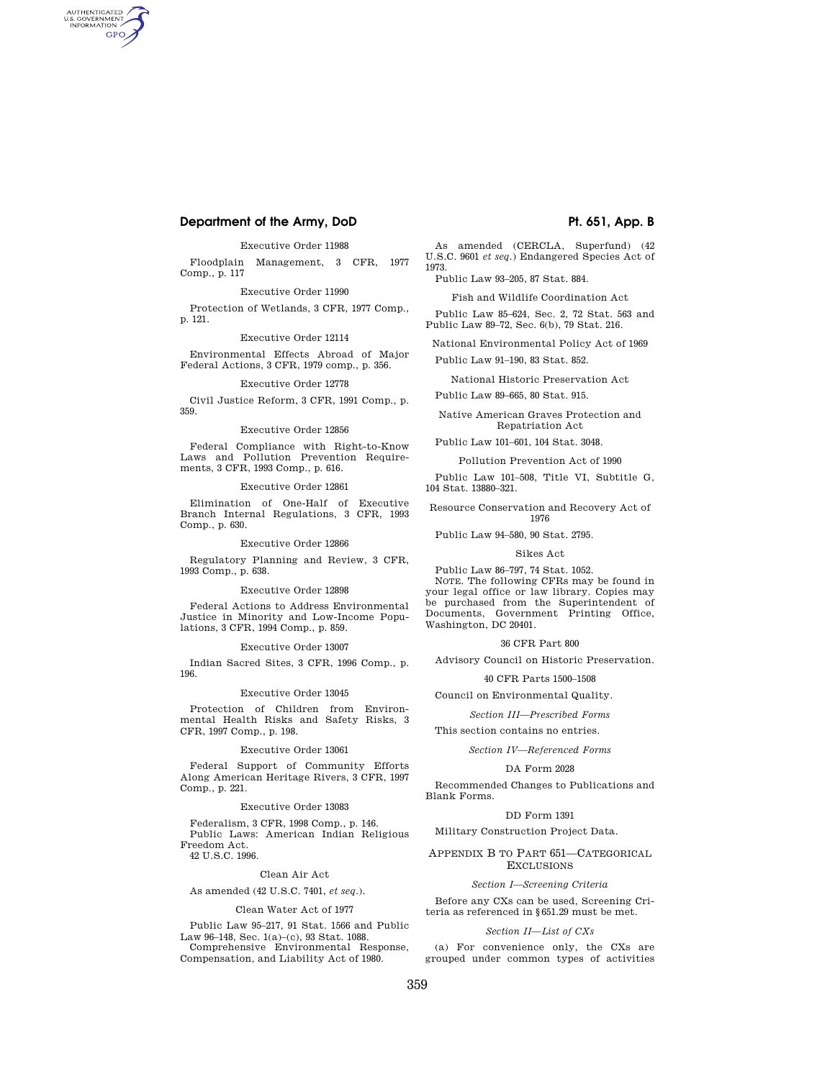# **Department of the Army, DoD Pt. 651, App. B**

AUTHENTICATED<br>U.S. GOVERNMENT<br>INFORMATION **GPO** 

Executive Order 11988

Floodplain Management, 3 CFR, 1977 Comp., p. 117

# Executive Order 11990

Protection of Wetlands, 3 CFR, 1977 Comp., p. 121.

## Executive Order 12114

Environmental Effects Abroad of Major Federal Actions, 3 CFR, 1979 comp., p. 356.

## Executive Order 12778

Civil Justice Reform, 3 CFR, 1991 Comp., p. 359.

#### Executive Order 12856

Federal Compliance with Right-to-Know Laws and Pollution Prevention Requirements, 3 CFR, 1993 Comp., p. 616.

#### Executive Order 12861

Elimination of One-Half of Executive Branch Internal Regulations, 3 CFR, 1993 Comp., p. 630.

## Executive Order 12866

Regulatory Planning and Review, 3 CFR, 1993 Comp., p. 638.

## Executive Order 12898

Federal Actions to Address Environmental Justice in Minority and Low-Income Populations, 3 CFR, 1994 Comp., p. 859.

#### Executive Order 13007

Indian Sacred Sites, 3 CFR, 1996 Comp., p. 196.

#### Executive Order 13045

Protection of Children from Environmental Health Risks and Safety Risks, 3 CFR, 1997 Comp., p. 198.

#### Executive Order 13061

Federal Support of Community Efforts Along American Heritage Rivers, 3 CFR, 1997 Comp., p. 221.

## Executive Order 13083

Federalism, 3 CFR, 1998 Comp., p. 146. Public Laws: American Indian Religious Freedom Act. 42 U.S.C. 1996.

# Clean Air Act

As amended (42 U.S.C. 7401, *et seq.*).

#### Clean Water Act of 1977

Public Law 95–217, 91 Stat. 1566 and Public Law 96–148, Sec. 1(a)–(c), 93 Stat. 1088. Comprehensive Environmental Response, Compensation, and Liability Act of 1980.

As amended (CERCLA, Superfund) (42 U.S.C. 9601 *et seq.*) Endangered Species Act of 1973.

Public Law 93–205, 87 Stat. 884.

Fish and Wildlife Coordination Act

Public Law 85–624, Sec. 2, 72 Stat. 563 and Public Law 89–72, Sec. 6(b), 79 Stat. 216.

National Environmental Policy Act of 1969

Public Law 91–190, 83 Stat. 852.

National Historic Preservation Act

Public Law 89–665, 80 Stat. 915.

Native American Graves Protection and Repatriation Act

Public Law 101–601, 104 Stat. 3048.

Pollution Prevention Act of 1990

Public Law 101–508, Title VI, Subtitle G, 104 Stat. 13880–321.

Resource Conservation and Recovery Act of 1976

Public Law 94–580, 90 Stat. 2795.

#### Sikes Act

Public Law 86–797, 74 Stat. 1052.

NOTE. The following CFRs may be found in your legal office or law library. Copies may be purchased from the Superintendent of Documents, Government Printing Office, Washington, DC 20401.

# 36 CFR Part 800

Advisory Council on Historic Preservation.

40 CFR Parts 1500–1508

Council on Environmental Quality.

*Section III—Prescribed Forms* 

This section contains no entries.

### *Section IV—Referenced Forms*

#### DA Form 2028

Recommended Changes to Publications and Blank Forms.

### DD Form 1391

Military Construction Project Data.

## APPENDIX B TO PART 651—CATEGORICAL EXCLUSIONS

## *Section I—Screening Criteria*

Before any CXs can be used, Screening Criteria as referenced in §651.29 must be met.

## *Section II—List of CXs*

(a) For convenience only, the CXs are grouped under common types of activities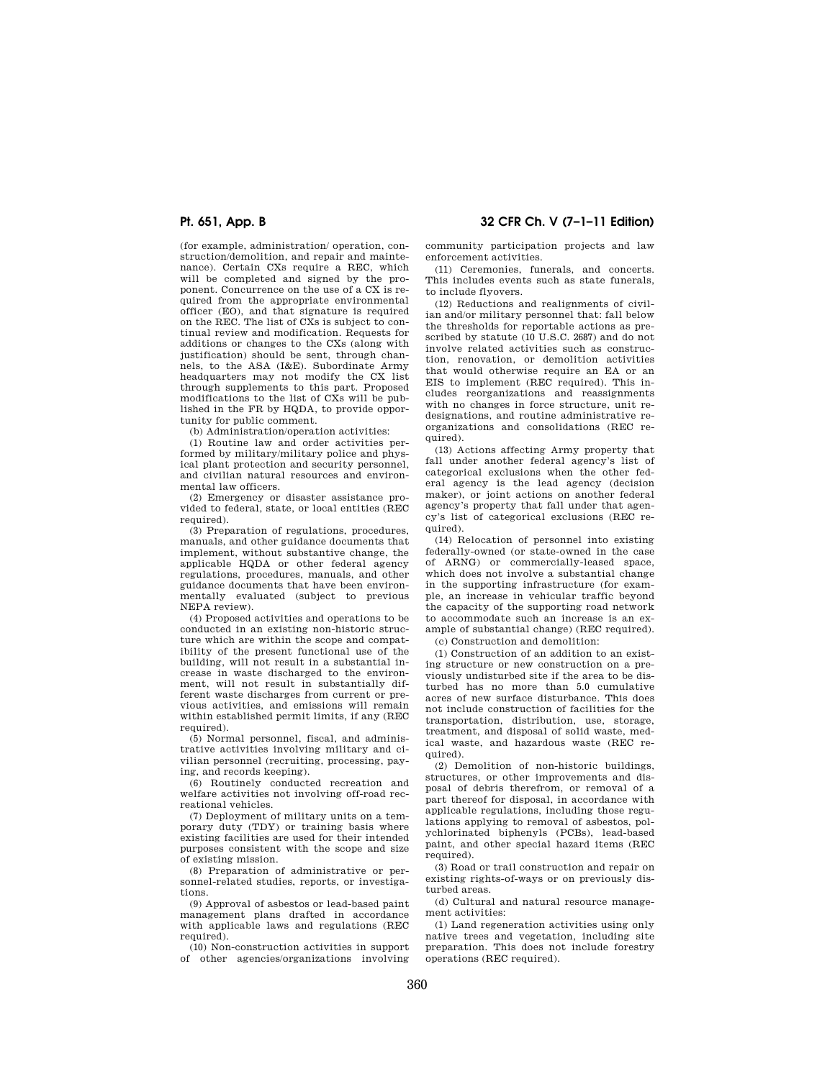(for example, administration/ operation, construction/demolition, and repair and maintenance). Certain CXs require a REC, which will be completed and signed by the proponent. Concurrence on the use of a CX is required from the appropriate environmental officer (EO), and that signature is required on the REC. The list of CXs is subject to continual review and modification. Requests for additions or changes to the CXs (along with justification) should be sent, through channels, to the ASA (I&E). Subordinate Army headquarters may not modify the CX list through supplements to this part. Proposed modifications to the list of CXs will be published in the FR by HQDA, to provide opportunity for public comment.

(b) Administration/operation activities:

(1) Routine law and order activities performed by military/military police and physical plant protection and security personnel, and civilian natural resources and environmental law officers.

(2) Emergency or disaster assistance provided to federal, state, or local entities (REC required).

(3) Preparation of regulations, procedures, manuals, and other guidance documents that implement, without substantive change, the applicable HQDA or other federal agency regulations, procedures, manuals, and other guidance documents that have been environmentally evaluated (subject to previous NEPA review).

(4) Proposed activities and operations to be conducted in an existing non-historic structure which are within the scope and compatibility of the present functional use of the building, will not result in a substantial increase in waste discharged to the environment, will not result in substantially different waste discharges from current or previous activities, and emissions will remain within established permit limits, if any (REC required).

(5) Normal personnel, fiscal, and administrative activities involving military and civilian personnel (recruiting, processing, paying, and records keeping).

(6) Routinely conducted recreation and welfare activities not involving off-road recreational vehicles.

(7) Deployment of military units on a temporary duty (TDY) or training basis where existing facilities are used for their intended purposes consistent with the scope and size of existing mission.

(8) Preparation of administrative or personnel-related studies, reports, or investigations.

(9) Approval of asbestos or lead-based paint management plans drafted in accordance with applicable laws and regulations (REC required).

(10) Non-construction activities in support of other agencies/organizations involving

**Pt. 651, App. B 32 CFR Ch. V (7–1–11 Edition)** 

community participation projects and law enforcement activities.

(11) Ceremonies, funerals, and concerts. This includes events such as state funerals, to include flyovers.

(12) Reductions and realignments of civilian and/or military personnel that: fall below the thresholds for reportable actions as prescribed by statute (10 U.S.C. 2687) and do not involve related activities such as construction, renovation, or demolition activities that would otherwise require an EA or an EIS to implement (REC required). This includes reorganizations and reassignments with no changes in force structure, unit redesignations, and routine administrative reorganizations and consolidations (REC required).

(13) Actions affecting Army property that fall under another federal agency's list of categorical exclusions when the other federal agency is the lead agency (decision maker), or joint actions on another federal agency's property that fall under that agency's list of categorical exclusions (REC required).

(14) Relocation of personnel into existing federally-owned (or state-owned in the case of ARNG) or commercially-leased space, which does not involve a substantial change in the supporting infrastructure (for example, an increase in vehicular traffic beyond the capacity of the supporting road network to accommodate such an increase is an example of substantial change) (REC required). (c) Construction and demolition:

(1) Construction of an addition to an existing structure or new construction on a previously undisturbed site if the area to be disturbed has no more than 5.0 cumulative acres of new surface disturbance. This does not include construction of facilities for the transportation, distribution, use, storage, treatment, and disposal of solid waste, medical waste, and hazardous waste (REC required).

(2) Demolition of non-historic buildings, structures, or other improvements and disposal of debris therefrom, or removal of a part thereof for disposal, in accordance with applicable regulations, including those regulations applying to removal of asbestos, polychlorinated biphenyls (PCBs), lead-based paint, and other special hazard items (REC required).

(3) Road or trail construction and repair on existing rights-of-ways or on previously disturbed areas.

(d) Cultural and natural resource management activities:

(1) Land regeneration activities using only native trees and vegetation, including site preparation. This does not include forestry operations (REC required).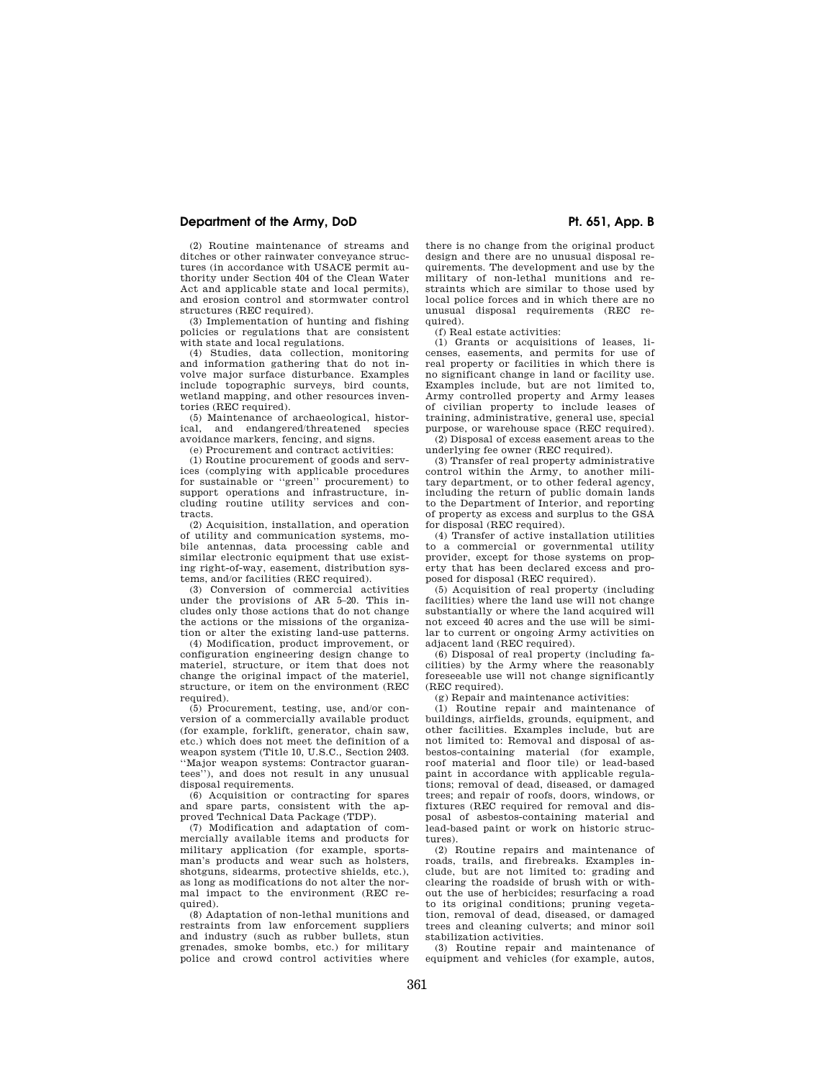# **Department of the Army, DoD Pt. 651, App. B**

(2) Routine maintenance of streams and ditches or other rainwater conveyance structures (in accordance with USACE permit authority under Section 404 of the Clean Water Act and applicable state and local permits), and erosion control and stormwater control structures (REC required).

(3) Implementation of hunting and fishing policies or regulations that are consistent with state and local regulations.

(4) Studies, data collection, monitoring and information gathering that do not involve major surface disturbance. Examples include topographic surveys, bird counts, wetland mapping, and other resources inventories (REC required).

(5) Maintenance of archaeological, historical, and endangered/threatened species avoidance markers, fencing, and signs.

(e) Procurement and contract activities:

(1) Routine procurement of goods and services (complying with applicable procedures for sustainable or ''green'' procurement) to support operations and infrastructure, including routine utility services and contracts.

(2) Acquisition, installation, and operation of utility and communication systems, mobile antennas, data processing cable and similar electronic equipment that use existing right-of-way, easement, distribution systems, and/or facilities (REC required).

(3) Conversion of commercial activities under the provisions of AR 5–20. This includes only those actions that do not change the actions or the missions of the organization or alter the existing land-use patterns.

(4) Modification, product improvement, or configuration engineering design change to materiel, structure, or item that does not change the original impact of the materiel, structure, or item on the environment (REC required).

(5) Procurement, testing, use, and/or conversion of a commercially available product (for example, forklift, generator, chain saw, etc.) which does not meet the definition of a weapon system (Title 10, U.S.C., Section 2403. ''Major weapon systems: Contractor guarantees''), and does not result in any unusual disposal requirements.

(6) Acquisition or contracting for spares and spare parts, consistent with the approved Technical Data Package (TDP).

(7) Modification and adaptation of commercially available items and products for military application (for example, sportsman's products and wear such as holsters, shotguns, sidearms, protective shields, etc.), as long as modifications do not alter the normal impact to the environment (REC required).

(8) Adaptation of non-lethal munitions and restraints from law enforcement suppliers and industry (such as rubber bullets, stun grenades, smoke bombs, etc.) for military police and crowd control activities where

there is no change from the original product design and there are no unusual disposal requirements. The development and use by the military of non-lethal munitions and restraints which are similar to those used by local police forces and in which there are no unusual disposal requirements (REC required).

(f) Real estate activities:

(1) Grants or acquisitions of leases, licenses, easements, and permits for use of real property or facilities in which there is no significant change in land or facility use. Examples include, but are not limited to, Army controlled property and Army leases of civilian property to include leases of training, administrative, general use, special purpose, or warehouse space (REC required). (2) Disposal of excess easement areas to the

underlying fee owner (REC required).

(3) Transfer of real property administrative control within the Army, to another military department, or to other federal agency, including the return of public domain lands to the Department of Interior, and reporting of property as excess and surplus to the GSA for disposal (REC required).

(4) Transfer of active installation utilities to a commercial or governmental utility provider, except for those systems on property that has been declared excess and proposed for disposal (REC required).

(5) Acquisition of real property (including facilities) where the land use will not change substantially or where the land acquired will not exceed 40 acres and the use will be similar to current or ongoing Army activities on adjacent land (REC required).

(6) Disposal of real property (including facilities) by the Army where the reasonably foreseeable use will not change significantly (REC required).

(g) Repair and maintenance activities:

(1) Routine repair and maintenance of buildings, airfields, grounds, equipment, and other facilities. Examples include, but are not limited to: Removal and disposal of asbestos-containing material (for example, roof material and floor tile) or lead-based paint in accordance with applicable regulations; removal of dead, diseased, or damaged trees; and repair of roofs, doors, windows, or fixtures (REC required for removal and disposal of asbestos-containing material and lead-based paint or work on historic structures).

(2) Routine repairs and maintenance of roads, trails, and firebreaks. Examples include, but are not limited to: grading and clearing the roadside of brush with or without the use of herbicides; resurfacing a road to its original conditions; pruning vegetation, removal of dead, diseased, or damaged trees and cleaning culverts; and minor soil stabilization activities.

(3) Routine repair and maintenance of equipment and vehicles (for example, autos,